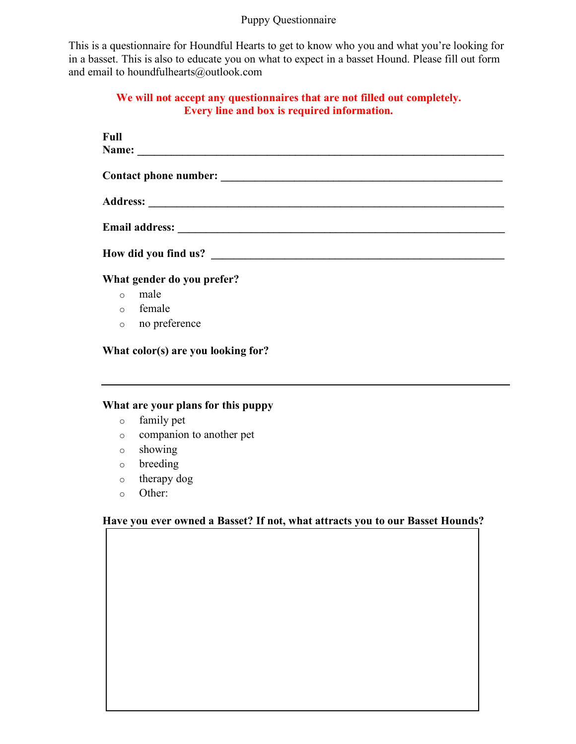## Puppy Questionnaire

This is a questionnaire for Houndful Hearts to get to know who you and what you're looking for in a basset. This is also to educate you on what to expect in a basset Hound. Please fill out form and email to houndfulhearts@outlook.com

## **We will not accept any questionnaires that are not filled out completely. Every line and box is required information.**

| Full                       |               |
|----------------------------|---------------|
|                            |               |
|                            |               |
|                            |               |
|                            |               |
| How did you find us?       |               |
| What gender do you prefer? |               |
| $\Omega$                   | male          |
| $\Omega$                   | female        |
| $\circ$                    | no preference |

**What color(s) are you looking for?**

# **What are your plans for this puppy**

- o family pet
- o companion to another pet
- o showing
- o breeding
- o therapy dog
- o Other:

## **Have you ever owned a Basset? If not, what attracts you to our Basset Hounds?**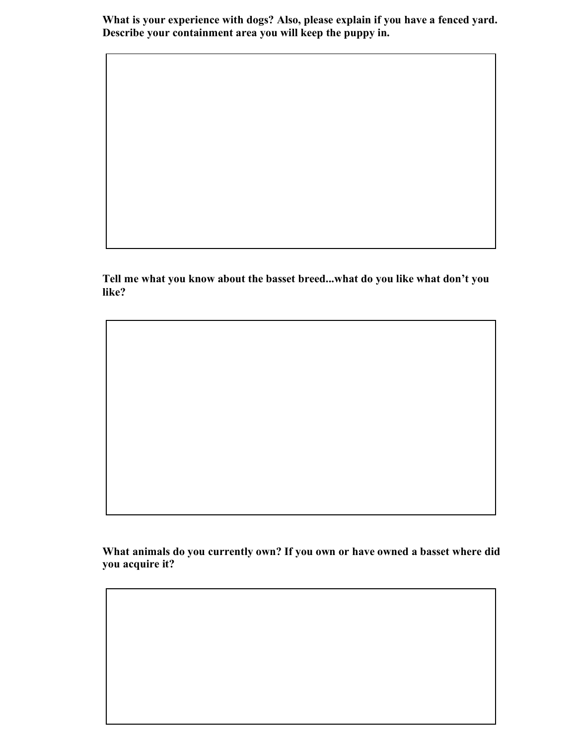**What is your experience with dogs? Also, please explain if you have a fenced yard. Describe your containment area you will keep the puppy in.**

**Tell me what you know about the basset breed...what do you like what don't you like?**

**What animals do you currently own? If you own or have owned a basset where did you acquire it?**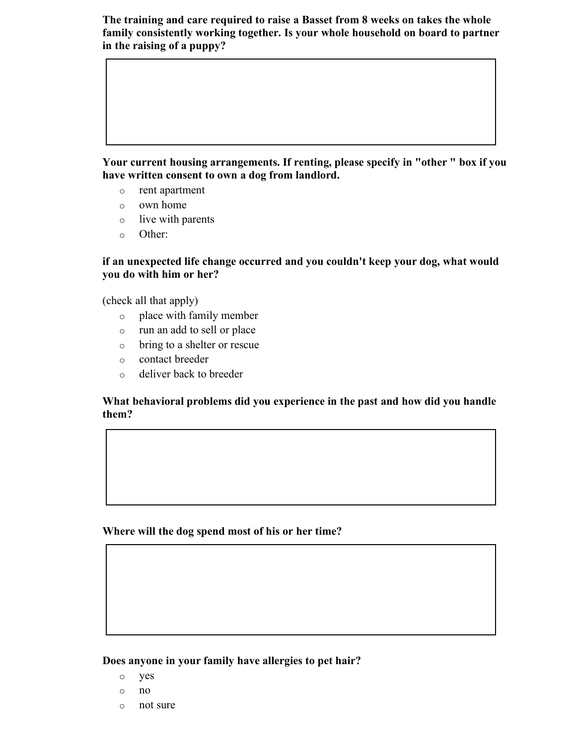**The training and care required to raise a Basset from 8 weeks on takes the whole family consistently working together. Is your whole household on board to partner in the raising of a puppy?**

**Your current housing arrangements. If renting, please specify in "other " box if you have written consent to own a dog from landlord.**

- o rent apartment
- o own home
- o live with parents
- o Other:

**if an unexpected life change occurred and you couldn't keep your dog, what would you do with him or her?**

(check all that apply)

- o place with family member
- o run an add to sell or place
- o bring to a shelter or rescue
- o contact breeder
- o deliver back to breeder

**What behavioral problems did you experience in the past and how did you handle them?**

**Where will the dog spend most of his or her time?**

**Does anyone in your family have allergies to pet hair?**

- o yes
- o no
- o not sure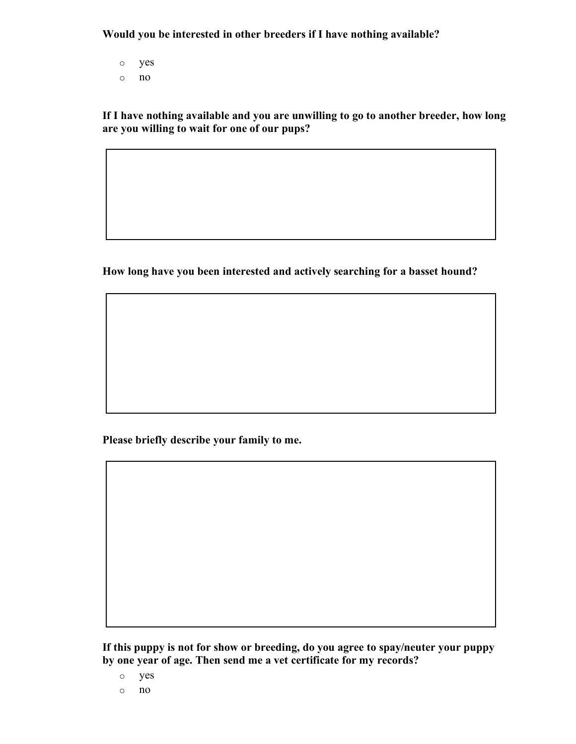**Would you be interested in other breeders if I have nothing available?**

- o yes
- o no

**If I have nothing available and you are unwilling to go to another breeder, how long are you willing to wait for one of our pups?**

**How long have you been interested and actively searching for a basset hound?**

**Please briefly describe your family to me.**

**If this puppy is not for show or breeding, do you agree to spay/neuter your puppy by one year of age. Then send me a vet certificate for my records?**

o yes

o no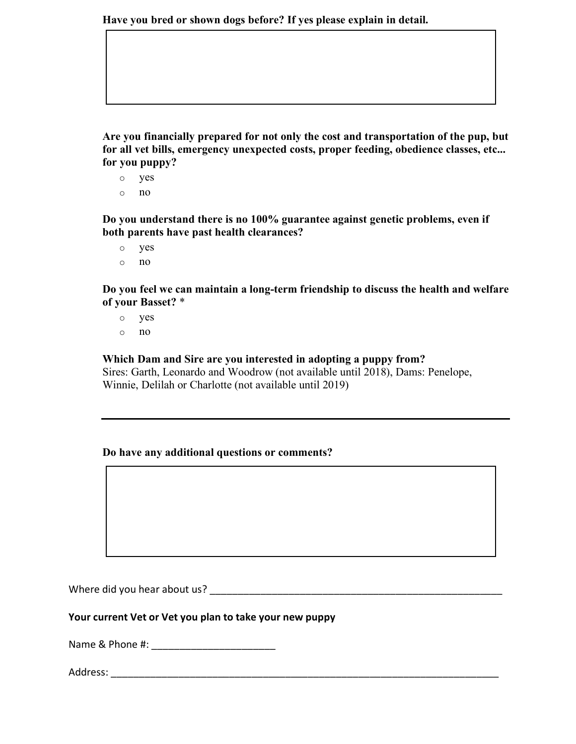**Have you bred or shown dogs before? If yes please explain in detail.**

**Are you financially prepared for not only the cost and transportation of the pup, but for all vet bills, emergency unexpected costs, proper feeding, obedience classes, etc... for you puppy?**

- o yes
- o no

**Do you understand there is no 100% guarantee against genetic problems, even if both parents have past health clearances?**

- o yes
- o no

**Do you feel we can maintain a long-term friendship to discuss the health and welfare of your Basset?** \*

- o yes
- o no

### **Which Dam and Sire are you interested in adopting a puppy from?**

Sires: Garth, Leonardo and Woodrow (not available until 2018), Dams: Penelope, Winnie, Delilah or Charlotte (not available until 2019)

### **Do have any additional questions or comments?**

Where did you hear about us?

#### **Your current Vet or Vet you plan to take your new puppy**

Name & Phone #:

Address: \_\_\_\_\_\_\_\_\_\_\_\_\_\_\_\_\_\_\_\_\_\_\_\_\_\_\_\_\_\_\_\_\_\_\_\_\_\_\_\_\_\_\_\_\_\_\_\_\_\_\_\_\_\_\_\_\_\_\_\_\_\_\_\_\_\_\_\_\_